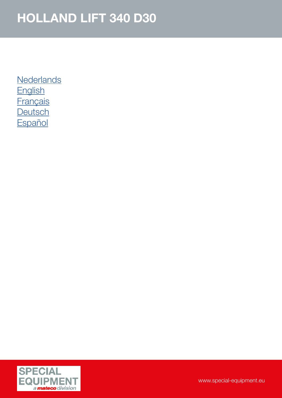**[Nederlands](#page-1-0)** [English](#page-2-0) **[Français](#page-3-0) [Deutsch](#page-4-0) [Español](#page-5-0)** 

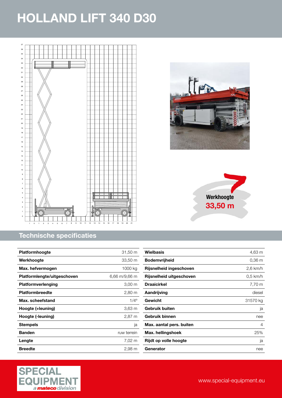<span id="page-1-0"></span>





#### Technische specificaties

| <b>Platformhoogte</b>       | $31,50 \; \text{m}$ |
|-----------------------------|---------------------|
| Werkhoogte                  | 33,50 m             |
| Max. hefvermogen            | 1000 kg             |
| Platformlengte/uitgeschoven | 6,66 m/9,66 m       |
| <b>Platformverlenging</b>   | $3,00 \, \text{m}$  |
| <b>Platformbreedte</b>      | 2,80 m              |
| Max. scheefstand            | $1/4^{\circ}$       |
| Hoogte (+leuning)           | 3,63 m              |
| Hoogte (-leuning)           | $2,87 \; m$         |
| <b>Stempels</b>             | ja                  |
| <b>Banden</b>               | ruw terrein         |
| Lengte                      | 7,02 m              |
| Breedte                     | 2,98 m              |

| Wielbasis                | 4,63 m     |
|--------------------------|------------|
| <b>Bodemvrijheid</b>     | 0.36 m     |
| Rijsnelheid ingeschoven  | $2,6$ km/h |
| Rijsnelheid uitgeschoven | $0.5$ km/h |
| Draaicirkel              | 7,70 m     |
| Aandrijving              | diesel     |
| Gewicht                  | 31570 kg   |
| <b>Gebruik buiten</b>    | ja         |
| Gebruik binnen           | nee        |
| Max. aantal pers. buiten | 4          |
| Max. hellingshoek        | 25%        |
| Rijdt op volle hoogte    | ja         |
| Generator                | nee        |

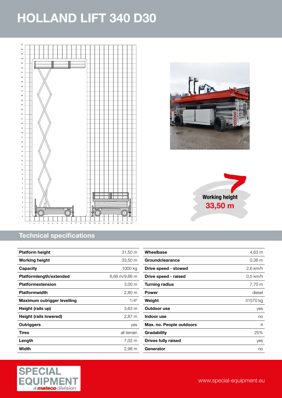<span id="page-2-0"></span>





#### Technical specifications

| <b>Platform height</b>      | 31,50 m       |
|-----------------------------|---------------|
| <b>Working height</b>       | 33,50 m       |
| Capacity                    | 1000 ka       |
| Platformlength/extended     | 6,66 m/9,66 m |
| <b>Platformextension</b>    | 3,00 m        |
| <b>Platformwidth</b>        | 2,80 m        |
| Maximum outrigger levelling | $1/4^{\circ}$ |
| Height (rails up)           | 3,63 m        |
| Height (rails lowered)      | 2,87 m        |
| Outriggers                  | yes           |
| Tires                       | all terrain   |
| Length                      | 7,02 m        |
| Width                       | 2,98 m        |

| Wheelbase                | 4,63 m            |
|--------------------------|-------------------|
| Groundclearance          | 0.36 <sub>m</sub> |
| Drive speed - stowed     | $2,6$ km/h        |
| Drive speed - raised     | $0.5$ km/h        |
| Turning radius           | 7,70 m            |
| Power                    | diesel            |
| Weight                   | 31570 kg          |
| Outdoor use              | yes               |
| Indoor use               | no                |
| Max. no. People outdoors | 4                 |
| Gradability              | 25%               |
| Drives fully raised      | yes               |
| Generator                | no                |

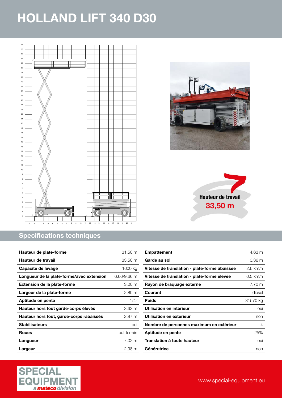<span id="page-3-0"></span>





#### Specifications techniques

| Hauteur de plate-forme                    | 31,50 m              |
|-------------------------------------------|----------------------|
| Hauteur de travail                        | 33,50 m              |
| Capacité de levage                        | 1000 kg              |
| Longueur de la plate-forme/avec extension | 6,66/9,66 m          |
| <b>Extension de la plate-forme</b>        | $3,00 \; \mathrm{m}$ |
| Largeur de la plate-forme                 | 2,80 m               |
| Aptitude en pente                         | $1/4^{\circ}$        |
| Hauteur hors tout garde-corps élevés      | 3,63 m               |
| Hauteur hors tout, garde-corps rabaissés  | 2,87 m               |
| <b>Stabilisateurs</b>                     | oui                  |
| <b>Roues</b>                              | tout terrain         |
| Longueur                                  | 7,02 m               |
| Largeur                                   | 2,98 m               |

| <b>Empattement</b>                            | 4,63 m     |
|-----------------------------------------------|------------|
| Garde au sol                                  | 0.36 m     |
| Vitesse de translation - plate-forme abaissée | 2,6 km/h   |
| Vitesse de translation - plate-forme élevée   | $0.5$ km/h |
| Rayon de braquage externe                     | 7,70 m     |
| Courant                                       | diesel     |
| <b>Poids</b>                                  | 31570 kg   |
| Utilisation en intérieur                      | oui        |
| Utilisation en extérieur                      | non        |
| Nombre de personnes maximum en extérieur      | 4          |
| Aptitude en pente                             | 25%        |
| Translation à toute hauteur                   | oui        |
| Génératrice                                   | non        |
|                                               |            |

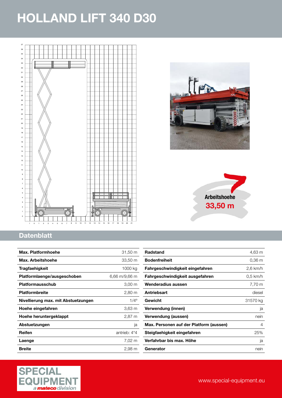<span id="page-4-0"></span>





### **Datenblatt**

| Max. Platformhoehe                  | 31,50 m              |
|-------------------------------------|----------------------|
| Max. Arbeitshoehe                   | 33,50 m              |
| Tragfaehigkeit                      | 1000 kg              |
| Platformlaenge/ausgeschoben         | 6,66 m/9,66 m        |
| Platformausschub                    | $3,00 \, \mathrm{m}$ |
| <b>Platformbreite</b>               | $2,80 \; \mathrm{m}$ |
| Nivellierung max. mit Abstuetzungen | $1/4^{\circ}$        |
| Hoehe eingefahren                   | $3,63 \, \mathrm{m}$ |
| Hoehe heruntergeklappt              | $2,87 \; m$          |
| Abstuetzungen                       | ja                   |
| Reifen                              | antrieb: 4*4         |
| Laenge                              | 7,02 m               |
| <b>Breite</b>                       | 2,98 m               |

| Radstand                                | 4,63 m     |
|-----------------------------------------|------------|
| <b>Bodenfreiheit</b>                    | 0.36 m     |
| Fahrgeschwindigkeit eingefahren         | $2,6$ km/h |
| Fahrgeschwindigkeit ausgefahren         | $0.5$ km/h |
| Wenderadius aussen                      | 7,70 m     |
| <b>Antriebsart</b>                      | diesel     |
| Gewicht                                 | 31570 kg   |
| Verwendung (innen)                      | ja         |
| Verwendung (aussen)                     | nein       |
| Max. Personen auf der Platform (aussen) | 4          |
| Steigfaehigkeit eingefahren             | 25%        |
| Verfahrbar bis max. Höhe                | ja         |
| Generator                               | nein       |